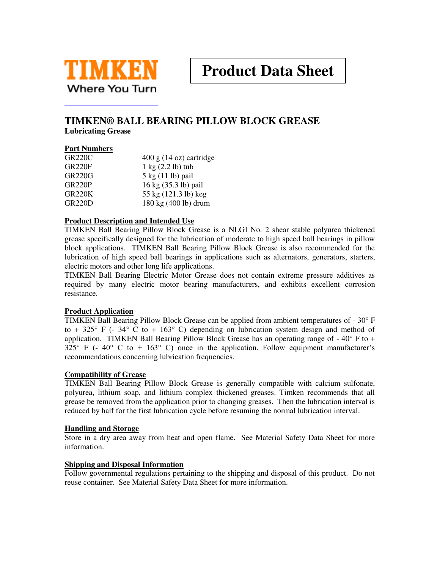

# **TIMKEN® BALL BEARING PILLOW BLOCK GREASE**

**Lubricating Grease** 

### **Part Numbers**

| <b>GR220C</b>       | $400 \text{ g}$ (14 oz) cartridge     |
|---------------------|---------------------------------------|
| <b>GR220F</b>       | $1 \text{ kg}$ $(2.2 \text{ lb})$ tub |
| <b>GR220G</b>       | $5 \text{ kg}$ (11 lb) pail           |
| GR <sub>220</sub> P | 16 kg (35.3 lb) pail                  |
| <b>GR220K</b>       | 55 kg (121.3 lb) keg                  |
| <b>GR220D</b>       | 180 kg (400 lb) drum                  |

#### **Product Description and Intended Use**

TIMKEN Ball Bearing Pillow Block Grease is a NLGI No. 2 shear stable polyurea thickened grease specifically designed for the lubrication of moderate to high speed ball bearings in pillow block applications. TIMKEN Ball Bearing Pillow Block Grease is also recommended for the lubrication of high speed ball bearings in applications such as alternators, generators, starters, electric motors and other long life applications.

TIMKEN Ball Bearing Electric Motor Grease does not contain extreme pressure additives as required by many electric motor bearing manufacturers, and exhibits excellent corrosion resistance.

#### **Product Application**

TIMKEN Ball Bearing Pillow Block Grease can be applied from ambient temperatures of - 30° F to + 325 $\degree$  F (- 34 $\degree$  C to + 163 $\degree$  C) depending on lubrication system design and method of application. TIMKEN Ball Bearing Pillow Block Grease has an operating range of  $-40^{\circ}$  F to  $+$  $325^{\circ}$  F (- 40° C to + 163° C) once in the application. Follow equipment manufacturer's recommendations concerning lubrication frequencies.

#### **Compatibility of Grease**

TIMKEN Ball Bearing Pillow Block Grease is generally compatible with calcium sulfonate, polyurea, lithium soap, and lithium complex thickened greases. Timken recommends that all grease be removed from the application prior to changing greases. Then the lubrication interval is reduced by half for the first lubrication cycle before resuming the normal lubrication interval.

#### **Handling and Storage**

Store in a dry area away from heat and open flame. See Material Safety Data Sheet for more information.

#### **Shipping and Disposal Information**

Follow governmental regulations pertaining to the shipping and disposal of this product. Do not reuse container. See Material Safety Data Sheet for more information.